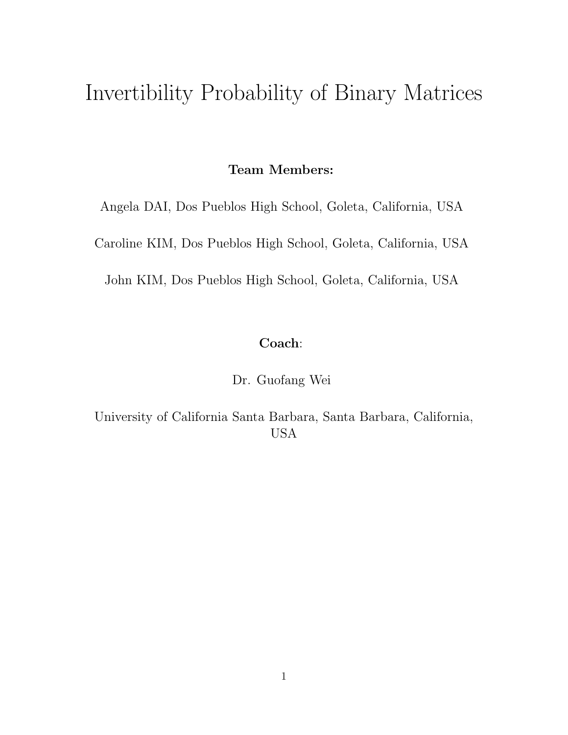# Invertibility Probability of Binary Matrices

#### Team Members:

Angela DAI, Dos Pueblos High School, Goleta, California, USA

Caroline KIM, Dos Pueblos High School, Goleta, California, USA

John KIM, Dos Pueblos High School, Goleta, California, USA

# Coach:

Dr. Guofang Wei

University of California Santa Barbara, Santa Barbara, California, USA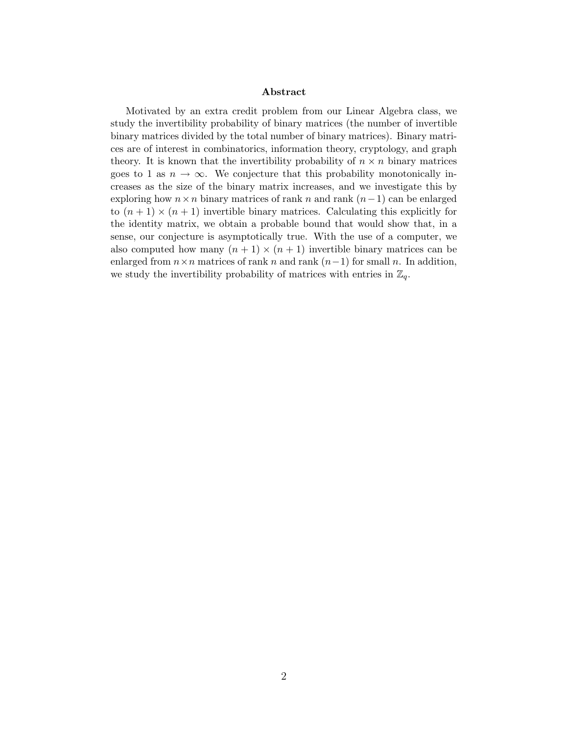#### Abstract

Motivated by an extra credit problem from our Linear Algebra class, we study the invertibility probability of binary matrices (the number of invertible binary matrices divided by the total number of binary matrices). Binary matrices are of interest in combinatorics, information theory, cryptology, and graph theory. It is known that the invertibility probability of  $n \times n$  binary matrices goes to 1 as  $n \to \infty$ . We conjecture that this probability monotonically increases as the size of the binary matrix increases, and we investigate this by exploring how  $n \times n$  binary matrices of rank n and rank  $(n-1)$  can be enlarged to  $(n + 1) \times (n + 1)$  invertible binary matrices. Calculating this explicitly for the identity matrix, we obtain a probable bound that would show that, in a sense, our conjecture is asymptotically true. With the use of a computer, we also computed how many  $(n + 1) \times (n + 1)$  invertible binary matrices can be enlarged from  $n \times n$  matrices of rank n and rank  $(n-1)$  for small n. In addition, we study the invertibility probability of matrices with entries in  $\mathbb{Z}_q$ .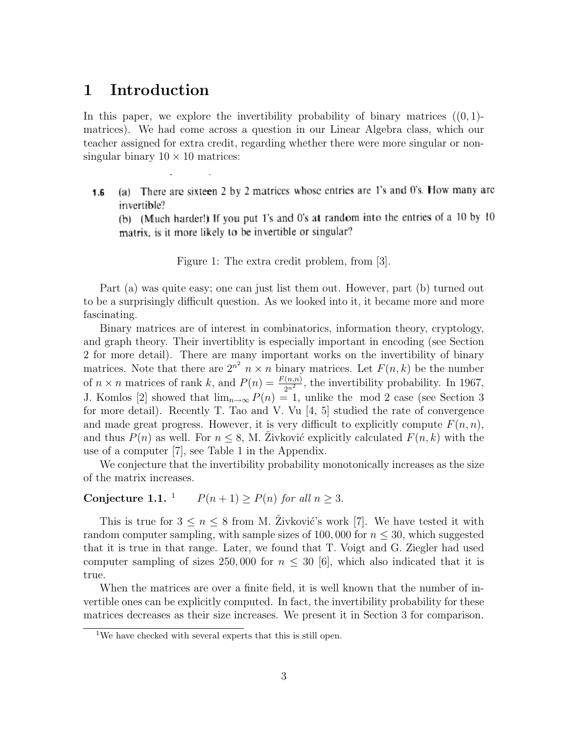# 1 Introduction

In this paper, we explore the invertibility probability of binary matrices  $((0, 1)$ matrices). We had come across a question in our Linear Algebra class, which our teacher assigned for extra credit, regarding whether there were more singular or nonsingular binary  $10 \times 10$  matrices:

(a) There are sixteen 2 by 2 matrices whose entries are 1's and 0's. How many are  $1.6$ invertible?

(b) (Much harder!) If you put 1's and 0's at random into the entries of a 10 by 10 matrix, is it more likely to be invertible or singular?

Figure 1: The extra credit problem, from [3].

Part (a) was quite easy; one can just list them out. However, part (b) turned out to be a surprisingly difficult question. As we looked into it, it became more and more fascinating.

Binary matrices are of interest in combinatorics, information theory, cryptology, and graph theory. Their invertiblity is especially important in encoding (see Section 2 for more detail). There are many important works on the invertibility of binary matrices. Note that there are  $2^{n^2}$   $n \times n$  binary matrices. Let  $F(n, k)$  be the number of  $n \times n$  matrices of rank k, and  $P(n) = \frac{F(n,n)}{2n^2}$ , the invertibility probability. In 1967, J. Komlos [2] showed that  $\lim_{n\to\infty} P(n) = 1$ , unlike the mod 2 case (see Section 3 for more detail). Recently T. Tao and V. Vu [4, 5] studied the rate of convergence and made great progress. However, it is very difficult to explicitly compute  $F(n, n)$ , and thus  $P(n)$  as well. For  $n \leq 8$ , M. Zivković explicitly calculated  $F(n, k)$  with the use of a computer [7], see Table 1 in the Appendix.

We conjecture that the invertibility probability monotonically increases as the size of the matrix increases.

#### Conjecture 1.1. <sup>1</sup>  $P(n+1) \ge P(n)$  for all  $n \ge 3$ .

This is true for  $3 \leq n \leq 8$  from M. Zivković's work [7]. We have tested it with random computer sampling, with sample sizes of 100,000 for  $n \leq 30$ , which suggested that it is true in that range. Later, we found that T. Voigt and G. Ziegler had used computer sampling of sizes 250,000 for  $n \leq 30$  [6], which also indicated that it is true.

When the matrices are over a finite field, it is well known that the number of invertible ones can be explicitly computed. In fact, the invertibility probability for these matrices decreases as their size increases. We present it in Section 3 for comparison.

<sup>&</sup>lt;sup>1</sup>We have checked with several experts that this is still open.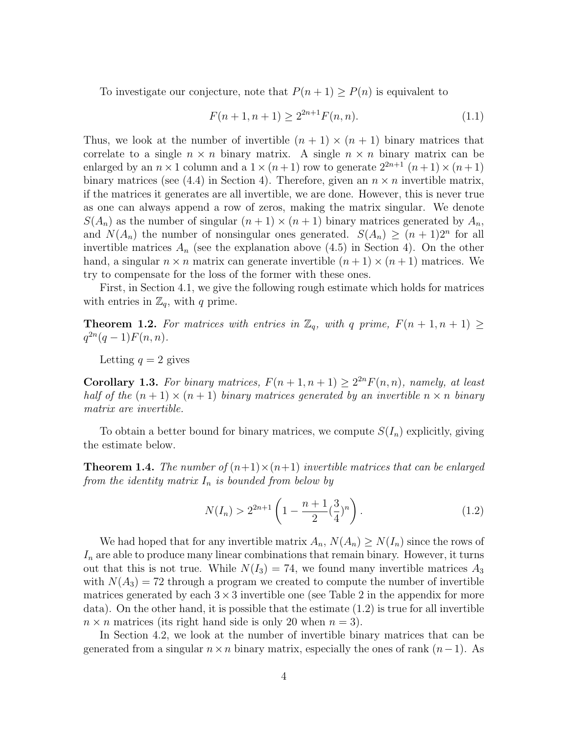To investigate our conjecture, note that  $P(n + 1) \ge P(n)$  is equivalent to

$$
F(n+1, n+1) \ge 2^{2n+1} F(n,n). \tag{1.1}
$$

Thus, we look at the number of invertible  $(n + 1) \times (n + 1)$  binary matrices that correlate to a single  $n \times n$  binary matrix. A single  $n \times n$  binary matrix can be enlarged by an  $n \times 1$  column and a  $1 \times (n+1)$  row to generate  $2^{2n+1}$   $(n+1) \times (n+1)$ binary matrices (see (4.4) in Section 4). Therefore, given an  $n \times n$  invertible matrix, if the matrices it generates are all invertible, we are done. However, this is never true as one can always append a row of zeros, making the matrix singular. We denote  $S(A_n)$  as the number of singular  $(n+1) \times (n+1)$  binary matrices generated by  $A_n$ , and  $N(A_n)$  the number of nonsingular ones generated.  $S(A_n) \geq (n+1)2^n$  for all invertible matrices  $A_n$  (see the explanation above  $(4.5)$  in Section 4). On the other hand, a singular  $n \times n$  matrix can generate invertible  $(n+1) \times (n+1)$  matrices. We try to compensate for the loss of the former with these ones.

First, in Section 4.1, we give the following rough estimate which holds for matrices with entries in  $\mathbb{Z}_q$ , with q prime.

**Theorem 1.2.** For matrices with entries in  $\mathbb{Z}_q$ , with q prime,  $F(n+1, n+1) \geq$  $q^{2n}(q-1)F(n, n).$ 

Letting  $q = 2$  gives

**Corollary 1.3.** For binary matrices,  $F(n+1, n+1) \geq 2^{2n} F(n,n)$ , namely, at least half of the  $(n + 1) \times (n + 1)$  binary matrices generated by an invertible  $n \times n$  binary matrix are invertible.

To obtain a better bound for binary matrices, we compute  $S(I_n)$  explicitly, giving the estimate below.

**Theorem 1.4.** The number of  $(n+1) \times (n+1)$  invertible matrices that can be enlarged from the identity matrix  $I_n$  is bounded from below by

$$
N(I_n) > 2^{2n+1} \left( 1 - \frac{n+1}{2} \left(\frac{3}{4}\right)^n \right). \tag{1.2}
$$

We had hoped that for any invertible matrix  $A_n$ ,  $N(A_n) \geq N(I_n)$  since the rows of  $I_n$  are able to produce many linear combinations that remain binary. However, it turns out that this is not true. While  $N(I_3) = 74$ , we found many invertible matrices  $A_3$ with  $N(A_3) = 72$  through a program we created to compute the number of invertible matrices generated by each  $3 \times 3$  invertible one (see Table 2 in the appendix for more data). On the other hand, it is possible that the estimate  $(1.2)$  is true for all invertible  $n \times n$  matrices (its right hand side is only 20 when  $n = 3$ ).

In Section 4.2, we look at the number of invertible binary matrices that can be generated from a singular  $n \times n$  binary matrix, especially the ones of rank  $(n-1)$ . As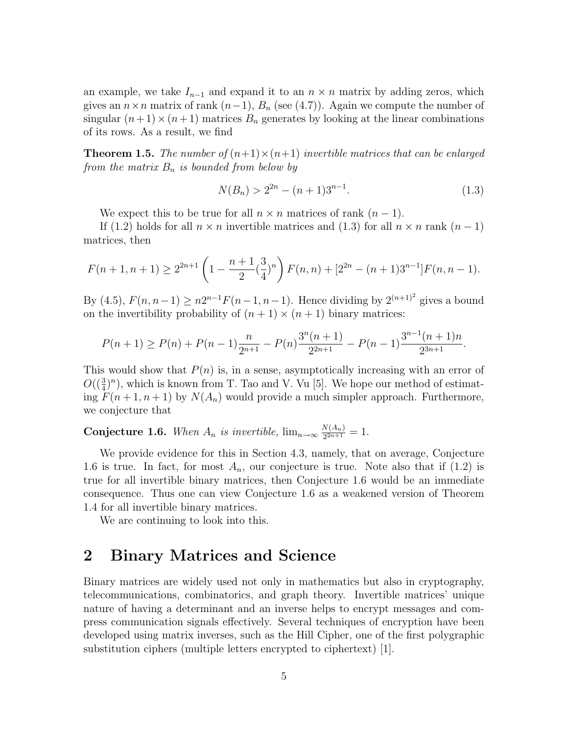an example, we take  $I_{n-1}$  and expand it to an  $n \times n$  matrix by adding zeros, which gives an  $n \times n$  matrix of rank  $(n-1)$ ,  $B_n$  (see (4.7)). Again we compute the number of singular  $(n+1) \times (n+1)$  matrices  $B_n$  generates by looking at the linear combinations of its rows. As a result, we find

**Theorem 1.5.** The number of  $(n+1) \times (n+1)$  invertible matrices that can be enlarged from the matrix  $B_n$  is bounded from below by

$$
N(B_n) > 2^{2n} - (n+1)3^{n-1}.
$$
\n(1.3)

We expect this to be true for all  $n \times n$  matrices of rank  $(n-1)$ .

If (1.2) holds for all  $n \times n$  invertible matrices and (1.3) for all  $n \times n$  rank  $(n-1)$ matrices, then

$$
F(n+1, n+1) \ge 2^{2n+1} \left(1 - \frac{n+1}{2} \left(\frac{3}{4}\right)^n\right) F(n,n) + \left[2^{2n} - (n+1)3^{n-1}\right] F(n, n-1).
$$

By (4.5),  $F(n, n-1) \ge n2^{n-1}F(n-1, n-1)$ . Hence dividing by  $2^{(n+1)^2}$  gives a bound on the invertibility probability of  $(n + 1) \times (n + 1)$  binary matrices:

$$
P(n+1) \ge P(n) + P(n-1)\frac{n}{2^{n+1}} - P(n)\frac{3^n(n+1)}{2^{2n+1}} - P(n-1)\frac{3^{n-1}(n+1)n}{2^{3n+1}}.
$$

This would show that  $P(n)$  is, in a sense, asymptotically increasing with an error of  $O((\frac{3}{4})^n)$ , which is known from T. Tao and V. Vu [5]. We hope our method of estimating  $F(n+1, n+1)$  by  $N(A_n)$  would provide a much simpler approach. Furthermore, we conjecture that

**Conjecture 1.6.** When  $A_n$  is invertible,  $\lim_{n\to\infty} \frac{N(A_n)}{2^{2n+1}}$  $\frac{N(A_n)}{2^{2n+1}}=1.$ 

We provide evidence for this in Section 4.3, namely, that on average, Conjecture 1.6 is true. In fact, for most  $A_n$ , our conjecture is true. Note also that if (1.2) is true for all invertible binary matrices, then Conjecture 1.6 would be an immediate consequence. Thus one can view Conjecture 1.6 as a weakened version of Theorem 1.4 for all invertible binary matrices.

We are continuing to look into this.

# 2 Binary Matrices and Science

Binary matrices are widely used not only in mathematics but also in cryptography, telecommunications, combinatorics, and graph theory. Invertible matrices' unique nature of having a determinant and an inverse helps to encrypt messages and compress communication signals effectively. Several techniques of encryption have been developed using matrix inverses, such as the Hill Cipher, one of the first polygraphic substitution ciphers (multiple letters encrypted to ciphertext) [1].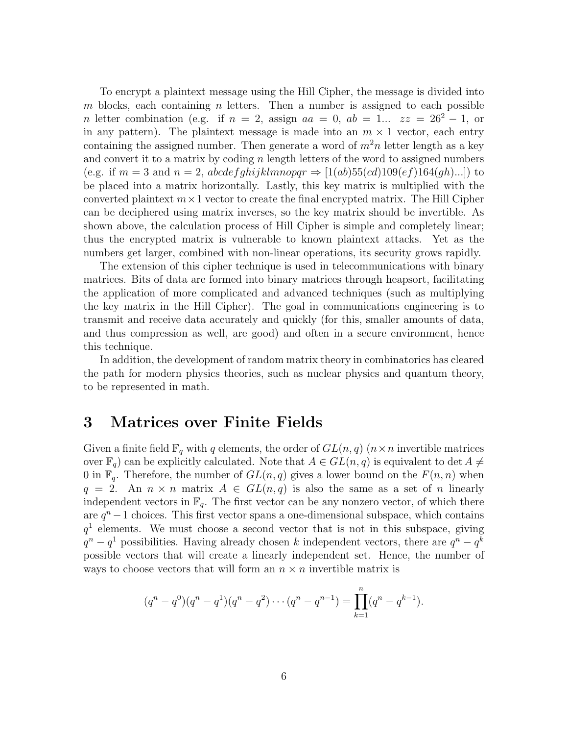To encrypt a plaintext message using the Hill Cipher, the message is divided into m blocks, each containing n letters. Then a number is assigned to each possible n letter combination (e.g. if  $n = 2$ , assign  $aa = 0$ ,  $ab = 1...$   $zz = 26^2 - 1$ , or in any pattern). The plaintext message is made into an  $m \times 1$  vector, each entry containing the assigned number. Then generate a word of  $m^2n$  letter length as a key and convert it to a matrix by coding  $n$  length letters of the word to assigned numbers (e.g. if  $m = 3$  and  $n = 2$ , abcdefghijklmnopqr  $\Rightarrow$  [1(ab)55(cd)109(ef)164(gh)...]) to be placed into a matrix horizontally. Lastly, this key matrix is multiplied with the converted plaintext  $m \times 1$  vector to create the final encrypted matrix. The Hill Cipher can be deciphered using matrix inverses, so the key matrix should be invertible. As shown above, the calculation process of Hill Cipher is simple and completely linear; thus the encrypted matrix is vulnerable to known plaintext attacks. Yet as the numbers get larger, combined with non-linear operations, its security grows rapidly.

The extension of this cipher technique is used in telecommunications with binary matrices. Bits of data are formed into binary matrices through heapsort, facilitating the application of more complicated and advanced techniques (such as multiplying the key matrix in the Hill Cipher). The goal in communications engineering is to transmit and receive data accurately and quickly (for this, smaller amounts of data, and thus compression as well, are good) and often in a secure environment, hence this technique.

In addition, the development of random matrix theory in combinatorics has cleared the path for modern physics theories, such as nuclear physics and quantum theory, to be represented in math.

# 3 Matrices over Finite Fields

Given a finite field  $\mathbb{F}_q$  with q elements, the order of  $GL(n, q)$  ( $n \times n$  invertible matrices over  $\mathbb{F}_q$  can be explicitly calculated. Note that  $A \in GL(n,q)$  is equivalent to det  $A \neq$ 0 in  $\mathbb{F}_q$ . Therefore, the number of  $GL(n,q)$  gives a lower bound on the  $F(n,n)$  when  $q = 2$ . An  $n \times n$  matrix  $A \in GL(n,q)$  is also the same as a set of n linearly independent vectors in  $\mathbb{F}_q$ . The first vector can be any nonzero vector, of which there are  $q^{n}-1$  choices. This first vector spans a one-dimensional subspace, which contains  $q<sup>1</sup>$  elements. We must choose a second vector that is not in this subspace, giving  $q^{n}-q^{1}$  possibilities. Having already chosen k independent vectors, there are  $q^{n}-q^{k}$ possible vectors that will create a linearly independent set. Hence, the number of ways to choose vectors that will form an  $n \times n$  invertible matrix is

$$
(q^{n} - q^{0})(q^{n} - q^{1})(q^{n} - q^{2}) \cdots (q^{n} - q^{n-1}) = \prod_{k=1}^{n} (q^{n} - q^{k-1}).
$$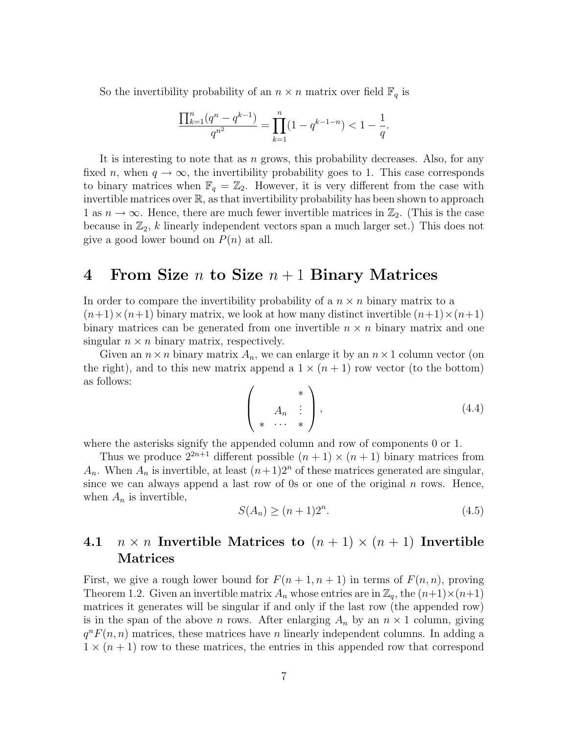So the invertibility probability of an  $n \times n$  matrix over field  $\mathbb{F}_q$  is

$$
\frac{\prod_{k=1}^{n} (q^n - q^{k-1})}{q^{n^2}} = \prod_{k=1}^{n} (1 - q^{k-1-n}) < 1 - \frac{1}{q}.
$$

It is interesting to note that as n grows, this probability decreases. Also, for any fixed n, when  $q \to \infty$ , the invertibility probability goes to 1. This case corresponds to binary matrices when  $\mathbb{F}_q = \mathbb{Z}_2$ . However, it is very different from the case with invertible matrices over  $\mathbb{R}$ , as that invertibility probability has been shown to approach 1 as  $n \to \infty$ . Hence, there are much fewer invertible matrices in  $\mathbb{Z}_2$ . (This is the case because in  $\mathbb{Z}_2$ , k linearly independent vectors span a much larger set.) This does not give a good lower bound on  $P(n)$  at all.

#### 4 From Size n to Size  $n+1$  Binary Matrices

In order to compare the invertibility probability of a  $n \times n$  binary matrix to a  $(n+1)\times(n+1)$  binary matrix, we look at how many distinct invertible  $(n+1)\times(n+1)$ binary matrices can be generated from one invertible  $n \times n$  binary matrix and one singular  $n \times n$  binary matrix, respectively.

Given an  $n \times n$  binary matrix  $A_n$ , we can enlarge it by an  $n \times 1$  column vector (on the right), and to this new matrix append a  $1 \times (n+1)$  row vector (to the bottom) as follows:

$$
\left(\begin{array}{c}\n* \\
A_n & \vdots \\
* & \cdots \\
* & \n\end{array}\right),\n\tag{4.4}
$$

where the asterisks signify the appended column and row of components 0 or 1.

Thus we produce  $2^{2n+1}$  different possible  $(n + 1) \times (n + 1)$  binary matrices from  $A_n$ . When  $A_n$  is invertible, at least  $(n+1)2^n$  of these matrices generated are singular, since we can always append a last row of 0s or one of the original  $n$  rows. Hence, when  $A_n$  is invertible,

$$
S(A_n) \ge (n+1)2^n. \tag{4.5}
$$

### 4.1  $n \times n$  Invertible Matrices to  $(n + 1) \times (n + 1)$  Invertible Matrices

First, we give a rough lower bound for  $F(n+1, n+1)$  in terms of  $F(n,n)$ , proving Theorem 1.2. Given an invertible matrix  $A_n$  whose entries are in  $\mathbb{Z}_q$ , the  $(n+1)\times(n+1)$ matrices it generates will be singular if and only if the last row (the appended row) is in the span of the above *n* rows. After enlarging  $A_n$  by an  $n \times 1$  column, giving  $q^n F(n,n)$  matrices, these matrices have n linearly independent columns. In adding a  $1 \times (n+1)$  row to these matrices, the entries in this appended row that correspond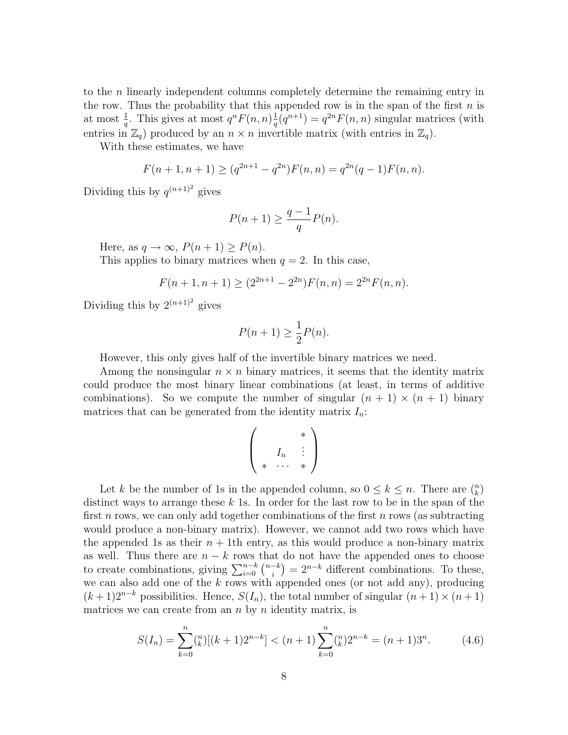to the n linearly independent columns completely determine the remaining entry in the row. Thus the probability that this appended row is in the span of the first  $n$  is at most  $\frac{1}{q}$ . This gives at most  $q^n F(n,n) \frac{1}{q}$  $\frac{1}{q}(q^{n+1}) = q^{2n} F(n, n)$  singular matrices (with entries in  $\mathbb{Z}_q$ ) produced by an  $n \times n$  invertible matrix (with entries in  $\mathbb{Z}_q$ ).

With these estimates, we have

$$
F(n+1, n+1) \ge (q^{2n+1} - q^{2n})F(n, n) = q^{2n}(q-1)F(n, n).
$$

Dividing this by  $q^{(n+1)^2}$  gives

$$
P(n+1) \ge \frac{q-1}{q}P(n).
$$

Here, as  $q \to \infty$ ,  $P(n+1) \ge P(n)$ .

This applies to binary matrices when  $q = 2$ . In this case,

$$
F(n + 1, n + 1) \ge (2^{2n+1} - 2^{2n})F(n, n) = 2^{2n}F(n, n).
$$

Dividing this by  $2^{(n+1)^2}$  gives

$$
P(n+1) \ge \frac{1}{2}P(n).
$$

However, this only gives half of the invertible binary matrices we need.

Among the nonsingular  $n \times n$  binary matrices, it seems that the identity matrix could produce the most binary linear combinations (at least, in terms of additive combinations). So we compute the number of singular  $(n + 1) \times (n + 1)$  binary matrices that can be generated from the identity matrix  $I_n$ :

$$
\left(\begin{array}{c}\n\ast \\
I_n\n\end{array}\right)
$$

Let k be the number of 1s in the appended column, so  $0 \le k \le n$ . There are  $\binom{n}{k}$ distinct ways to arrange these  $k$  1s. In order for the last row to be in the span of the first n rows, we can only add together combinations of the first n rows (as subtracting would produce a non-binary matrix). However, we cannot add two rows which have the appended 1s as their  $n + 1$ th entry, as this would produce a non-binary matrix as well. Thus there are  $n - k$  rows that do not have the appended ones to choose to create combinations, giving  $\sum_{i=0}^{n-k} {n-k \choose i}$  $\binom{-k}{i} = 2^{n-k}$  different combinations. To these, we can also add one of the  $k$  rows with appended ones (or not add any), producing  $(k+1)2^{n-k}$  possibilities. Hence,  $S(I_n)$ , the total number of singular  $(n+1) \times (n+1)$ matrices we can create from an  $n$  by  $n$  identity matrix, is

$$
S(I_n) = \sum_{k=0}^{n} {n \choose k} [(k+1)2^{n-k}] < (n+1) \sum_{k=0}^{n} {n \choose k} 2^{n-k} = (n+1)3^n. \tag{4.6}
$$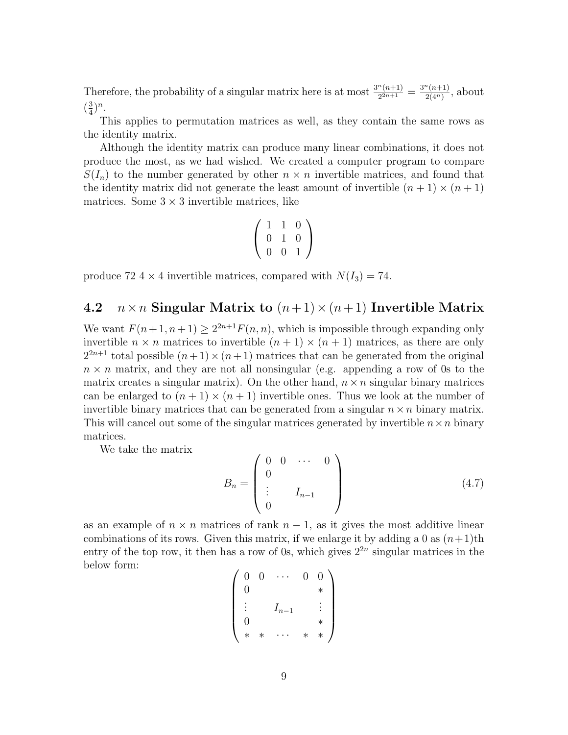Therefore, the probability of a singular matrix here is at most  $\frac{3^n(n+1)}{2^{2n+1}}$  $rac{n(n+1)}{2^{2n+1}} = \frac{3^n(n+1)}{2(4^n)}$  $\frac{\binom{n+1}{2(4^n)}}{2(4^n)}$ , about  $\left(\frac{3}{4}\right)$  $\frac{3}{4})^n$ .

This applies to permutation matrices as well, as they contain the same rows as the identity matrix.

Although the identity matrix can produce many linear combinations, it does not produce the most, as we had wished. We created a computer program to compare  $S(I_n)$  to the number generated by other  $n \times n$  invertible matrices, and found that the identity matrix did not generate the least amount of invertible  $(n + 1) \times (n + 1)$ matrices. Some  $3 \times 3$  invertible matrices, like

$$
\left(\begin{array}{rrr} 1 & 1 & 0 \\ 0 & 1 & 0 \\ 0 & 0 & 1 \end{array}\right)
$$

produce 72 4  $\times$  4 invertible matrices, compared with  $N(I_3) = 74$ .

### 4.2  $n \times n$  Singular Matrix to  $(n+1) \times (n+1)$  Invertible Matrix

We want  $F(n+1, n+1) \geq 2^{2n+1} F(n, n)$ , which is impossible through expanding only invertible  $n \times n$  matrices to invertible  $(n + 1) \times (n + 1)$  matrices, as there are only  $2^{2n+1}$  total possible  $(n+1) \times (n+1)$  matrices that can be generated from the original  $n \times n$  matrix, and they are not all nonsingular (e.g. appending a row of 0s to the matrix creates a singular matrix). On the other hand,  $n \times n$  singular binary matrices can be enlarged to  $(n + 1) \times (n + 1)$  invertible ones. Thus we look at the number of invertible binary matrices that can be generated from a singular  $n \times n$  binary matrix. This will cancel out some of the singular matrices generated by invertible  $n \times n$  binary matrices.

We take the matrix

$$
B_n = \begin{pmatrix} 0 & 0 & \cdots & 0 \\ 0 & & & \\ \vdots & & I_{n-1} & \\ 0 & & & \end{pmatrix}
$$
 (4.7)

as an example of  $n \times n$  matrices of rank  $n-1$ , as it gives the most additive linear combinations of its rows. Given this matrix, if we enlarge it by adding a 0 as  $(n+1)$ th entry of the top row, it then has a row of 0s, which gives  $2^{2n}$  singular matrices in the below form:

|   | 0 |           | $\left( \right)$ | ገ |
|---|---|-----------|------------------|---|
| 0 |   |           |                  |   |
|   |   | $I_{n-1}$ |                  |   |
| 0 |   |           |                  |   |
|   |   |           |                  |   |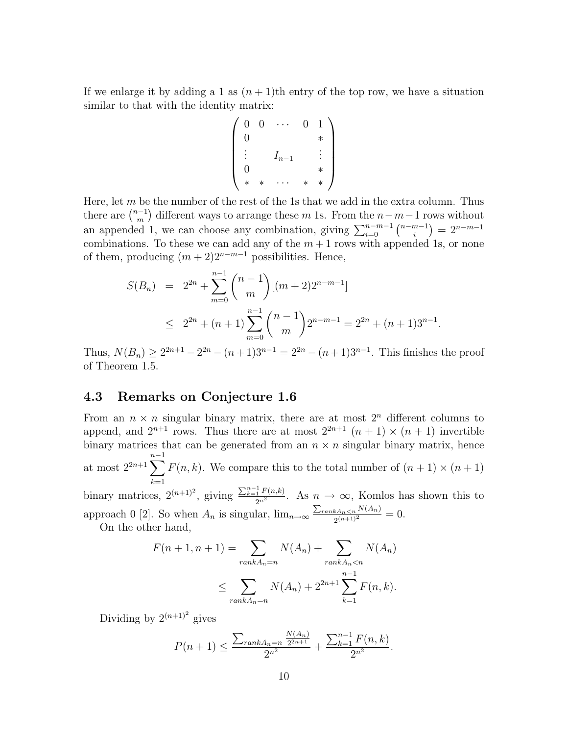If we enlarge it by adding a 1 as  $(n+1)$ th entry of the top row, we have a situation similar to that with the identity matrix:

$$
\begin{pmatrix}\n0 & 0 & \cdots & 0 & 1 \\
0 & & & * \\
\vdots & & I_{n-1} & & \vdots \\
0 & & & * \\
* & * & \cdots & * & *\n\end{pmatrix}
$$

Here, let  $m$  be the number of the rest of the 1s that we add in the extra column. Thus there are  $\binom{n-1}{m}$  $\binom{n-1}{m}$  different ways to arrange these m 1s. From the  $n-m-1$  rows without an appended 1, we can choose any combination, giving  $\sum_{i=0}^{n-m-1} \binom{n-m-1}{i}$  $\binom{n-1}{i} = 2^{n-m-1}$ combinations. To these we can add any of the  $m + 1$  rows with appended 1s, or none of them, producing  $(m+2)2^{n-m-1}$  possibilities. Hence,

$$
S(B_n) = 2^{2n} + \sum_{m=0}^{n-1} {n-1 \choose m} [(m+2)2^{n-m-1}]
$$
  
 
$$
\leq 2^{2n} + (n+1) \sum_{m=0}^{n-1} {n-1 \choose m} 2^{n-m-1} = 2^{2n} + (n+1)3^{n-1}
$$

.

Thus,  $N(B_n) \ge 2^{2n+1} - 2^{2n} - (n+1)3^{n-1} = 2^{2n} - (n+1)3^{n-1}$ . This finishes the proof of Theorem 1.5.

#### 4.3 Remarks on Conjecture 1.6

From an  $n \times n$  singular binary matrix, there are at most  $2^n$  different columns to append, and  $2^{n+1}$  rows. Thus there are at most  $2^{2n+1}$   $(n + 1) \times (n + 1)$  invertible binary matrices that can be generated from an  $n \times n$  singular binary matrix, hence at most  $2^{2n+1}\sum_{n=1}^{n-1}$  $k=1$  $F(n, k)$ . We compare this to the total number of  $(n + 1) \times (n + 1)$ binary matrices,  $2^{(n+1)^2}$ , giving  $\frac{\sum_{k=1}^{n-1} F(n,k)}{2^{n^2}}$ . As  $n \to \infty$ , Komlos has shown this to approach 0 [2]. So when  $A_n$  is singular,  $\lim_{n\to\infty} \frac{\sum_{rank A_n\leq n} N(A_n)}{2(n+1)^2}$  $\frac{kA_n \leq n^{-1} (A_n)}{2(n+1)^2} = 0.$ 

On the other hand,

$$
F(n+1, n+1) = \sum_{rank A_n = n} N(A_n) + \sum_{rank A_n < n} N(A_n)
$$
\n
$$
\leq \sum_{rank A_n = n} N(A_n) + 2^{2n+1} \sum_{k=1}^{n-1} F(n, k).
$$

Dividing by  $2^{(n+1)^2}$  gives

$$
P(n+1) \le \frac{\sum_{rank A_n = n} \frac{N(A_n)}{2^{2n+1}}}{2^{n^2}} + \frac{\sum_{k=1}^{n-1} F(n,k)}{2^{n^2}}.
$$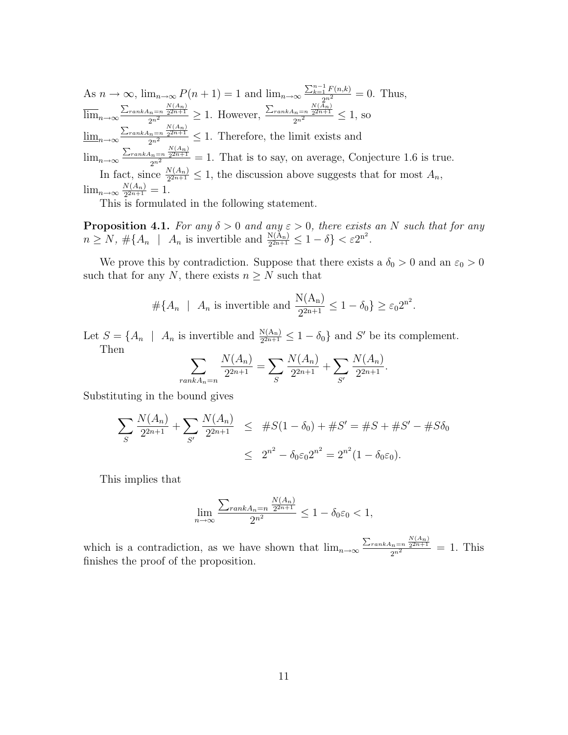As  $n \to \infty$ ,  $\lim_{n \to \infty} P(n+1) = 1$  and  $\lim_{n \to \infty} \frac{\sum_{k=1}^{n-1} F(n,k)}{2^{n^2}} = 0$ . Thus,  $\overline{\lim}_{n\to\infty} \frac{\sum_{rank A_n=n} \frac{N(A_n)}{2^{2n+1}}}{2^{n^2}} \geq 1$ . However,  $\frac{\sum_{rank A_n=n} \frac{N(A_n)}{2^{2n+1}}}{2^{n^2}} \leq 1$ , so  $\underline{\lim}_{n\to\infty} \frac{\sum_{rank A_n=n} \frac{N(A_n)}{2^{2n+1}}}{2^{n^2}} \leq 1$ . Therefore, the limit exists and  $\lim_{n\to\infty} \frac{\sum_{rank A_n=n} \frac{N(A_n)}{2^{n+1}}}{2^{n^2}}=1$ . That is to say, on average, Conjecture 1.6 is true. In fact, since  $\frac{N(A_n)}{2^{2n+1}} \leq 1$ , the discussion above suggests that for most  $A_n$ ,  $\lim_{n\to\infty}\frac{N(A_n)}{2^{2n+1}}$  $\frac{N(A_n)}{2^{2n+1}}=1.$ 

This is formulated in the following statement.

**Proposition 4.1.** For any  $\delta > 0$  and any  $\varepsilon > 0$ , there exists an N such that for any  $n \ge N$ ,  $\#\{A_n \mid A_n \text{ is invertible and } \frac{N(A_n)}{2^{2n+1}} \le 1 - \delta\} < \varepsilon 2^{n^2}$ .

We prove this by contradiction. Suppose that there exists a  $\delta_0>0$  and an  $\varepsilon_0>0$ such that for any N, there exists  $n \geq N$  such that

$$
\#\{A_n \mid A_n \text{ is invertible and } \frac{N(A_n)}{2^{2n+1}} \le 1 - \delta_0\} \ge \varepsilon_0 2^{n^2}.
$$

Let  $S = \{A_n \mid A_n \text{ is invertible and } \frac{N(A_n)}{2^{2n+1}} \leq 1 - \delta_0\}$  and S' be its complement. Then

$$
\sum_{rank A_n=n} \frac{N(A_n)}{2^{2n+1}} = \sum_{S} \frac{N(A_n)}{2^{2n+1}} + \sum_{S'} \frac{N(A_n)}{2^{2n+1}}.
$$

Substituting in the bound gives

$$
\sum_{S} \frac{N(A_n)}{2^{2n+1}} + \sum_{S'} \frac{N(A_n)}{2^{2n+1}} \leq #S(1 - \delta_0) + #S' = #S + #S' - #S\delta_0
$$
  

$$
\leq 2^{n^2} - \delta_0 \varepsilon_0 2^{n^2} = 2^{n^2} (1 - \delta_0 \varepsilon_0).
$$

This implies that

$$
\lim_{n \to \infty} \frac{\sum_{rank A_n = n} \frac{N(A_n)}{2^{2n+1}}}{2^{n^2}} \le 1 - \delta_0 \varepsilon_0 < 1,
$$

which is a contradiction, as we have shown that  $\lim_{n\to\infty} \frac{\sum_{rank A_n=n} \frac{N(A_n)}{2^{n+1}}}{2^n} = 1$ . This finishes the proof of the proposition.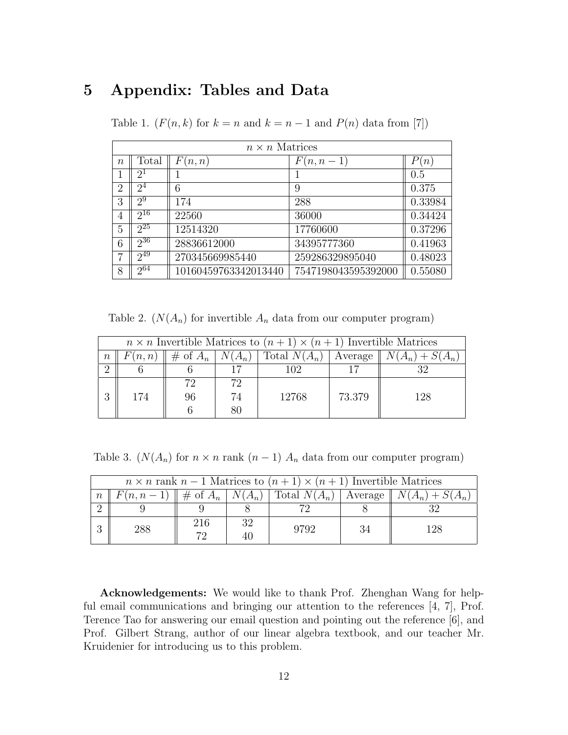# 5 Appendix: Tables and Data

Table 1. ( $F(n, k)$  for  $k = n$  and  $k = n - 1$  and  $P(n)$  data from [7])

| $n \times n$ Matrices |                |                      |                     |         |  |  |
|-----------------------|----------------|----------------------|---------------------|---------|--|--|
| $\boldsymbol{n}$      | Total          | F(n, n)              | $F(n,n-1)$          | P(n)    |  |  |
|                       | $2^1$          |                      |                     | 0.5     |  |  |
| $\overline{2}$        | 2 <sup>4</sup> | 6                    | 9                   | 0.375   |  |  |
| 3                     | $2^9$          | 174                  | 288                 | 0.33984 |  |  |
| 4                     | $2^{16}$       | 22560                | 36000               | 0.34424 |  |  |
| 5                     | $2^{25}$       | 12514320             | 17760600            | 0.37296 |  |  |
| 6                     | $2^{36}$       | 28836612000          | 34395777360         | 0.41963 |  |  |
| $\overline{7}$        | $2^{49}$       | 270345669985440      | 259286329895040     | 0.48023 |  |  |
| 8                     | $2^{64}$       | 10160459763342013440 | 7547198043595392000 | 0.55080 |  |  |

Table 2.  $(N(A_n)$  for invertible  $A_n$  data from our computer program)

| $n \times n$ Invertible Matrices to $(n + 1) \times (n + 1)$ Invertible Matrices |        |            |          |                |         |                   |
|----------------------------------------------------------------------------------|--------|------------|----------|----------------|---------|-------------------|
| $\boldsymbol{n}$                                                                 | F(n,n) | # of $A_n$ | $N(A_n)$ | Total $N(A_n)$ | Average | $N(A_n) + S(A_n)$ |
| $\Omega$                                                                         |        |            | 17       | 102            | 17      | າາ                |
|                                                                                  |        | 72         | 72       |                |         |                   |
| $\Omega$                                                                         | 174    | 96         | 74       | 12768          | 73.379  | 128               |
|                                                                                  |        |            | 80       |                |         |                   |

Table 3. ( $N(A_n)$  for  $n \times n$  rank  $(n-1)$   $A_n$  data from our computer program)

| $n \times n$ rank $n-1$ Matrices to $(n+1) \times (n+1)$ Invertible Matrices |     |           |          |      |    |                                                                                                                              |
|------------------------------------------------------------------------------|-----|-----------|----------|------|----|------------------------------------------------------------------------------------------------------------------------------|
| $\boldsymbol{n}$                                                             |     |           |          |      |    | $F(n, n-1) \parallel \# \text{ of } A_n \mid N(A_n) \mid \text{Total } N(A_n) \mid \text{Average} \parallel N(A_n) + S(A_n)$ |
|                                                                              |     |           |          |      |    |                                                                                                                              |
|                                                                              | 288 | 216<br>79 | 32<br>40 | 9792 | 34 | 128                                                                                                                          |

Acknowledgements: We would like to thank Prof. Zhenghan Wang for helpful email communications and bringing our attention to the references [4, 7], Prof. Terence Tao for answering our email question and pointing out the reference [6], and Prof. Gilbert Strang, author of our linear algebra textbook, and our teacher Mr. Kruidenier for introducing us to this problem.